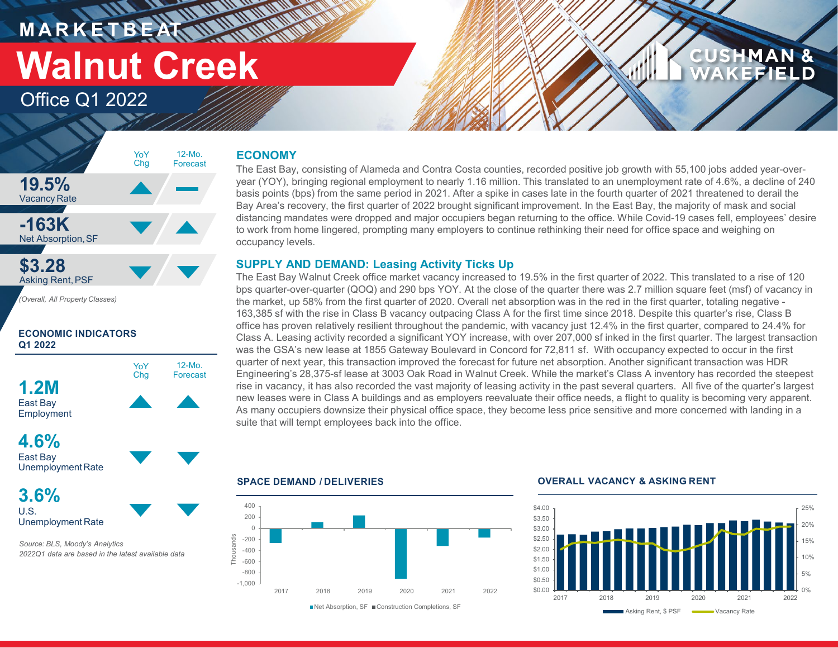**MARKETBEAT MANAGEMENT Walnut Creek**

Office Q1 2022

# **19.5%** Vacancy Rate **-163K** Net Absorption,SF **\$3.28** Asking Rent,PSF *(Overall, All Property Classes)* 12-Mo. Forecast YoY Chg

# **ECONOMIC INDICATORS Q1 2022**



East Bay UnemploymentRate

**3.6%** U.S. Unemployment Rate

*Source: BLS, Moody's Analytics 2022Q1 data are based in the latest available data*

# **ECONOMY**

The East Bay, consisting of Alameda and Contra Costa counties, recorded positive job growth with 55,100 jobs added year-overyear (YOY), bringing regional employment to nearly 1.16 million. This translated to an unemployment rate of 4.6%, a decline of 240 basis points (bps) from the same period in 2021. After a spike in cases late in the fourth quarter of 2021 threatened to derail the Bay Area's recovery, the first quarter of 2022 brought significant improvement. In the East Bay, the majority of mask and social distancing mandates were dropped and major occupiers began returning to the office. While Covid-19 cases fell, employees' desire to work from home lingered, prompting many employers to continue rethinking their need for office space and weighing on occupancy levels.

# **SUPPLY AND DEMAND: Leasing Activity Ticks Up**

The East Bay Walnut Creek office market vacancy increased to 19.5% in the first quarter of 2022. This translated to a rise of 120 bps quarter-over-quarter (QOQ) and 290 bps YOY. At the close of the quarter there was 2.7 million square feet (msf) of vacancy in the market, up 58% from the first quarter of 2020. Overall net absorption was in the red in the first quarter, totaling negative - 163,385 sf with the rise in Class B vacancy outpacing Class A for the first time since 2018. Despite this quarter's rise, Class B office has proven relatively resilient throughout the pandemic, with vacancy just 12.4% in the first quarter, compared to 24.4% for Class A. Leasing activity recorded a significant YOY increase, with over 207,000 sf inked in the first quarter. The largest transaction was the GSA's new lease at 1855 Gateway Boulevard in Concord for 72,811 sf. With occupancy expected to occur in the first quarter of next year, this transaction improved the forecast for future net absorption. Another significant transaction was HDR Engineering's 28,375-sf lease at 3003 Oak Road in Walnut Creek. While the market's Class A inventory has recorded the steepest rise in vacancy, it has also recorded the vast majority of leasing activity in the past several quarters. All five of the quarter's largest new leases were in Class A buildings and as employers reevaluate their office needs, a flight to quality is becoming very apparent. As many occupiers downsize their physical office space, they become less price sensitive and more concerned with landing in a suite that will tempt employees back into the office.



### **SPACE DEMAND / DELIVERIES OVERALL VACANCY & ASKING RENT**



**CUSHMAN &** 

**KEFIELD**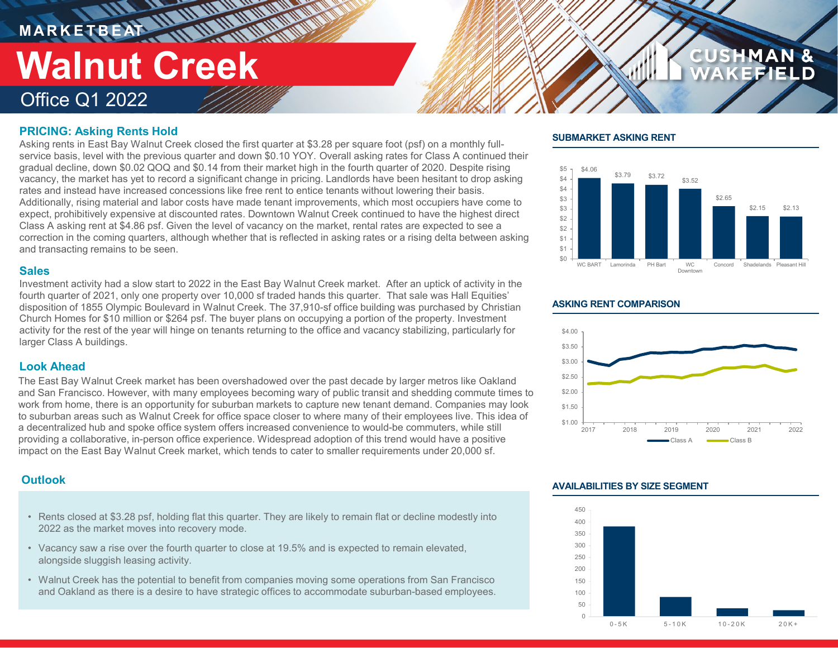# **M A R K E T B E AT** Office Q1 2022 **Walnut Creek**

# **PRICING: Asking Rents Hold**

Asking rents in East Bay Walnut Creek closed the first quarter at \$3.28 per square foot (psf) on a monthly fullservice basis, level with the previous quarter and down \$0.10 YOY. Overall asking rates for Class A continued their gradual decline, down \$0.02 QOQ and \$0.14 from their market high in the fourth quarter of 2020. Despite rising vacancy, the market has yet to record a significant change in pricing. Landlords have been hesitant to drop asking rates and instead have increased concessions like free rent to entice tenants without lowering their basis. Additionally, rising material and labor costs have made tenant improvements, which most occupiers have come to expect, prohibitively expensive at discounted rates. Downtown Walnut Creek continued to have the highest direct Class A asking rent at \$4.86 psf. Given the level of vacancy on the market, rental rates are expected to see a correction in the coming quarters, although whether that is reflected in asking rates or a rising delta between asking and transacting remains to be seen.

### **Sales**

Investment activity had a slow start to 2022 in the East Bay Walnut Creek market. After an uptick of activity in the fourth quarter of 2021, only one property over 10,000 sf traded hands this quarter. That sale was Hall Equities' disposition of 1855 Olympic Boulevard in Walnut Creek. The 37,910-sf office building was purchased by Christian Church Homes for \$10 million or \$264 psf. The buyer plans on occupying a portion of the property. Investment activity for the rest of the year will hinge on tenants returning to the office and vacancy stabilizing, particularly for larger Class A buildings.

# **Look Ahead**

The East Bay Walnut Creek market has been overshadowed over the past decade by larger metros like Oakland and San Francisco. However, with many employees becoming wary of public transit and shedding commute times to work from home, there is an opportunity for suburban markets to capture new tenant demand. Companies may look to suburban areas such as Walnut Creek for office space closer to where many of their employees live. This idea of a decentralized hub and spoke office system offers increased convenience to would-be commuters, while still providing a collaborative, in-person office experience. Widespread adoption of this trend would have a positive impact on the East Bay Walnut Creek market, which tends to cater to smaller requirements under 20,000 sf.

- Rents closed at \$3.28 psf, holding flat this quarter. They are likely to remain flat or decline modestly into 2022 as the market moves into recovery mode.
- Vacancy saw a rise over the fourth quarter to close at 19.5% and is expected to remain elevated, alongside sluggish leasing activity.
- Walnut Creek has the potential to benefit from companies moving some operations from San Francisco and Oakland as there is a desire to have strategic offices to accommodate suburban-based employees.

# **SUBMARKET ASKING RENT**



**CUSHMAN &** 

### **ASKING RENT COMPARISON**



# **AVAILABILITIES BY SIZE SEGMENT Outlook**

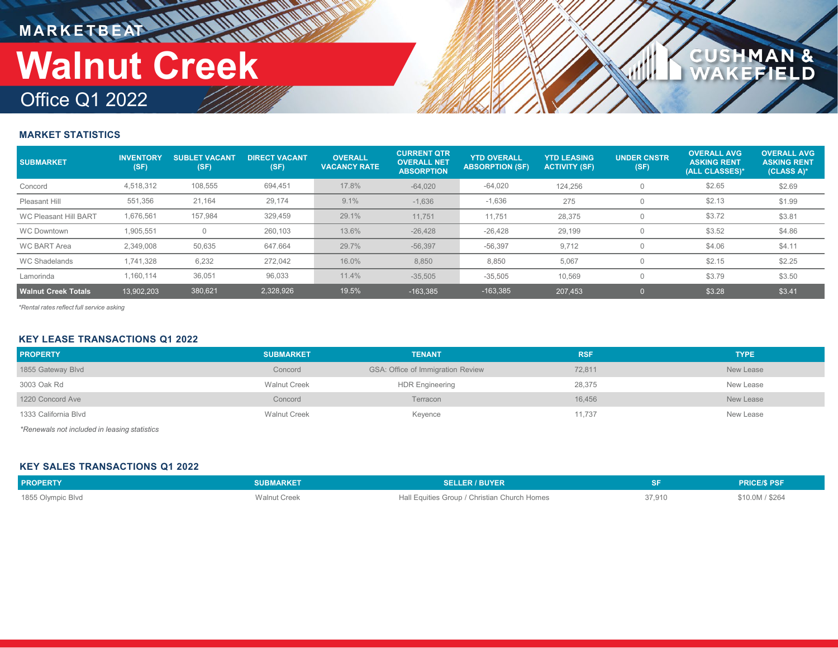# **MARKETBEAT IN IN IN IN IN IN IN Walnut Creek**

# Office Q1 2022

# **MARKET STATISTICS**

| <b>SUBMARKET</b>             | <b>INVENTORY</b><br>(SF) | <b>SUBLET VACANT</b><br>(SF) | <b>DIRECT VACANT</b><br>(SF) | <b>OVERALL</b><br><b>VACANCY RATE</b> | <b>CURRENT QTR</b><br><b>OVERALL NET</b><br><b>ABSORPTION</b> | <b>YTD OVERALL</b><br><b>ABSORPTION (SF)</b> | <b>YTD LEASING</b><br><b>ACTIVITY (SF)</b> | <b>UNDER CNSTR</b><br>(SF) | <b>OVERALL AVG</b><br><b>ASKING RENT</b><br>(ALL CLASSES)* | <b>OVERALL AVG</b><br><b>ASKING RENT</b><br>(CLASS A)* |
|------------------------------|--------------------------|------------------------------|------------------------------|---------------------------------------|---------------------------------------------------------------|----------------------------------------------|--------------------------------------------|----------------------------|------------------------------------------------------------|--------------------------------------------------------|
| Concord                      | 4,518,312                | 108,555                      | 694,451                      | 17.8%                                 | $-64,020$                                                     | $-64,020$                                    | 124.256                                    |                            | \$2.65                                                     | \$2.69                                                 |
| Pleasant Hill                | 551,356                  | 21,164                       | 29,174                       | 9.1%                                  | $-1,636$                                                      | $-1,636$                                     | 275                                        |                            | \$2.13                                                     | \$1.99                                                 |
| <b>WC Pleasant Hill BART</b> | 1,676,561                | 157.984                      | 329,459                      | 29.1%                                 | 11,751                                                        | 11,751                                       | 28,375                                     |                            | \$3.72                                                     | \$3.81                                                 |
| <b>WC Downtown</b>           | 1,905,551                |                              | 260,103                      | 13.6%                                 | $-26.428$                                                     | $-26,428$                                    | 29,199                                     |                            | \$3.52                                                     | \$4.86                                                 |
| <b>WC BART Area</b>          | 2.349.008                | 50,635                       | 647.664                      | 29.7%                                 | $-56,397$                                                     | $-56,397$                                    | 9,712                                      |                            | \$4.06                                                     | \$4.11                                                 |
| <b>WC Shadelands</b>         | 1.741.328                | 6.232                        | 272,042                      | 16.0%                                 | 8,850                                                         | 8,850                                        | 5,067                                      |                            | \$2.15                                                     | \$2.25                                                 |
| Lamorinda                    | 1.160.114                | 36,051                       | 96,033                       | 11.4%                                 | $-35,505$                                                     | $-35,505$                                    | 10,569                                     |                            | \$3.79                                                     | \$3.50                                                 |
| <b>Walnut Creek Totals</b>   | 13.902.203               | 380,621                      | 2,328,926                    | 19.5%                                 | $-163.385$                                                    | $-163,385$                                   | 207.453                                    |                            | \$3.28                                                     | \$3.41                                                 |

**CUSHMAN &**<br>WAKEFIELD

*\*Rental rates reflect full service asking*

### **KEY LEASE TRANSACTIONS Q1 2022**

| <b>PROPERTY</b>                                                                   | <b>SUBMARKET</b>    | <b>TENANT</b>                            | <b>RSF</b> | <b>TYPE</b> |  |  |
|-----------------------------------------------------------------------------------|---------------------|------------------------------------------|------------|-------------|--|--|
| 1855 Gateway Blvd                                                                 | Concord             | <b>GSA: Office of Immigration Review</b> | 72,811     | New Lease   |  |  |
| 3003 Oak Rd                                                                       | <b>Walnut Creek</b> | <b>HDR Engineering</b>                   | 28,375     | New Lease   |  |  |
| 1220 Concord Ave                                                                  | Concord             | Terracon                                 | 16,456     | New Lease   |  |  |
| 1333 California Blvd                                                              | <b>Walnut Creek</b> | Keyence                                  | 11,737     | New Lease   |  |  |
| * Flore a comparison to the selected for the selection of additional selection of |                     |                                          |            |             |  |  |

*\*Renewals not included in leasing statistics*

# **KEY SALES TRANSACTIONS Q1 2022**

| <b>PROPERTY</b>   | <b>SUBMARKET</b>    | <b>SELLER / BUYER</b>                        |        | <b>PRICE/S PSF</b> |
|-------------------|---------------------|----------------------------------------------|--------|--------------------|
| 1855 Olympic Blvd | <b>Walnut Creek</b> | Hall Equities Group / Christian Church Homes | 37,910 | \$10.0M / \$264    |